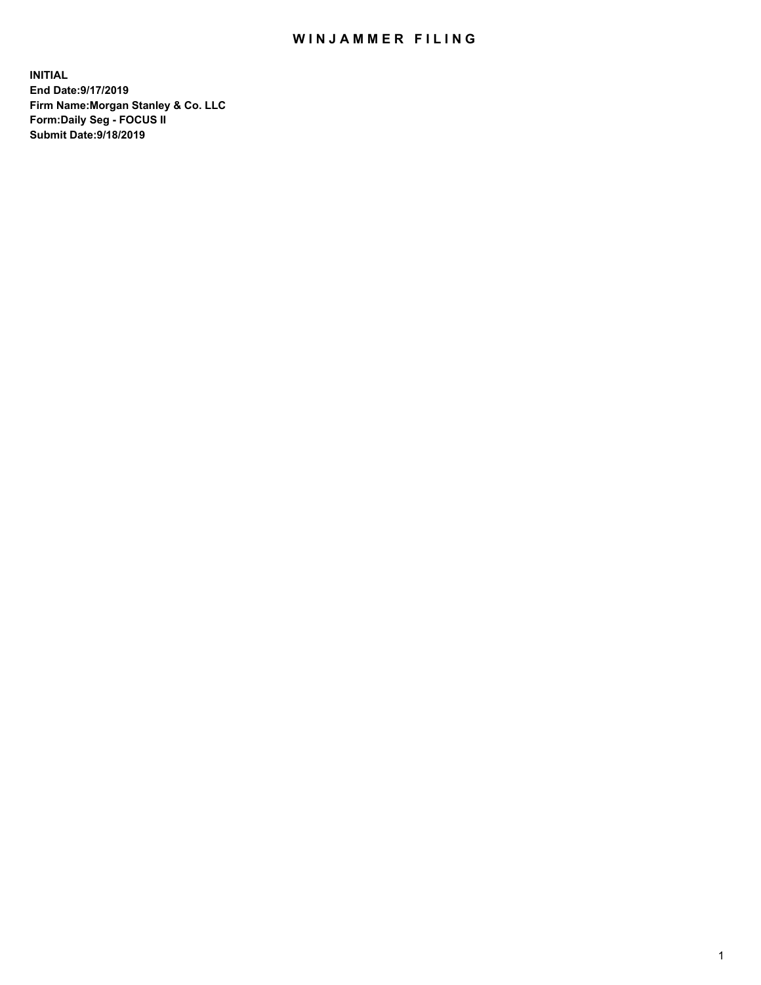## WIN JAMMER FILING

**INITIAL End Date:9/17/2019 Firm Name:Morgan Stanley & Co. LLC Form:Daily Seg - FOCUS II Submit Date:9/18/2019**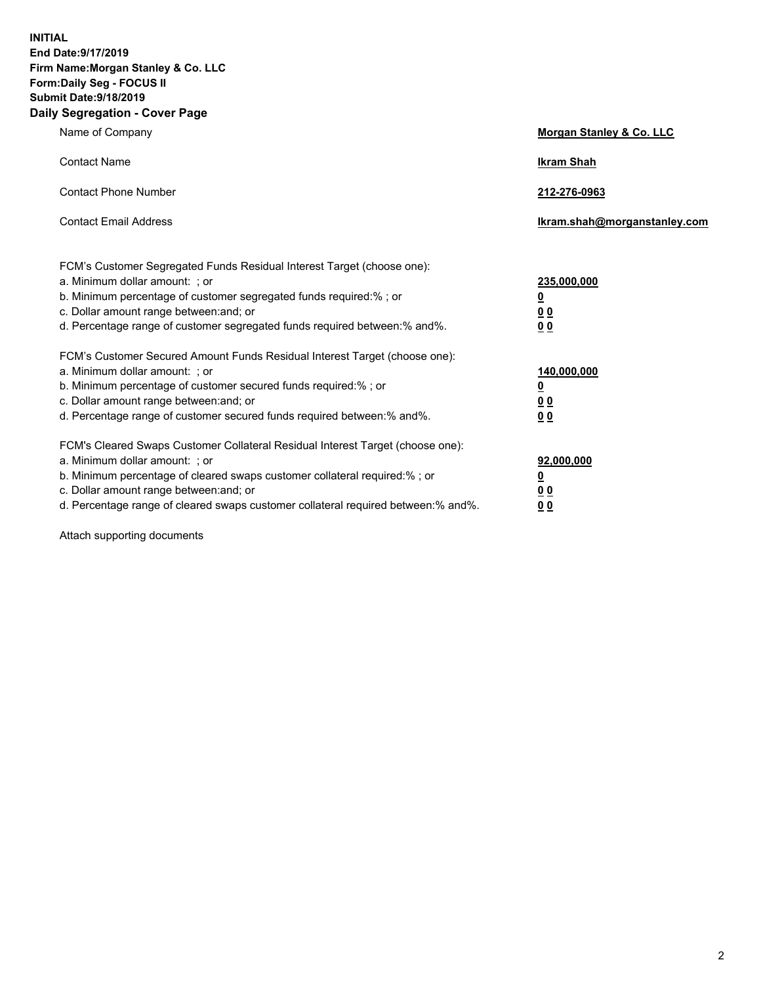**INITIAL End Date:9/17/2019 Firm Name:Morgan Stanley & Co. LLC Form:Daily Seg - FOCUS II Submit Date:9/18/2019 Daily Segregation - Cover Page**

| Name of Company                                                                                                                                                                                                                                                                                                                | Morgan Stanley & Co. LLC                               |
|--------------------------------------------------------------------------------------------------------------------------------------------------------------------------------------------------------------------------------------------------------------------------------------------------------------------------------|--------------------------------------------------------|
| <b>Contact Name</b>                                                                                                                                                                                                                                                                                                            | <b>Ikram Shah</b>                                      |
| <b>Contact Phone Number</b>                                                                                                                                                                                                                                                                                                    | 212-276-0963                                           |
| <b>Contact Email Address</b>                                                                                                                                                                                                                                                                                                   | Ikram.shah@morganstanley.com                           |
| FCM's Customer Segregated Funds Residual Interest Target (choose one):<br>a. Minimum dollar amount: ; or<br>b. Minimum percentage of customer segregated funds required:% ; or<br>c. Dollar amount range between: and; or<br>d. Percentage range of customer segregated funds required between:% and%.                         | 235,000,000<br><u>0</u><br><u>0 0</u><br>0 Q           |
| FCM's Customer Secured Amount Funds Residual Interest Target (choose one):<br>a. Minimum dollar amount: ; or<br>b. Minimum percentage of customer secured funds required:%; or<br>c. Dollar amount range between: and; or<br>d. Percentage range of customer secured funds required between:% and%.                            | 140,000,000<br><u>0</u><br><u>00</u><br>0 <sub>0</sub> |
| FCM's Cleared Swaps Customer Collateral Residual Interest Target (choose one):<br>a. Minimum dollar amount: ; or<br>b. Minimum percentage of cleared swaps customer collateral required:% ; or<br>c. Dollar amount range between: and; or<br>d. Percentage range of cleared swaps customer collateral required between:% and%. | 92,000,000<br><u>0</u><br><u>00</u><br>0 <sub>0</sub>  |

Attach supporting documents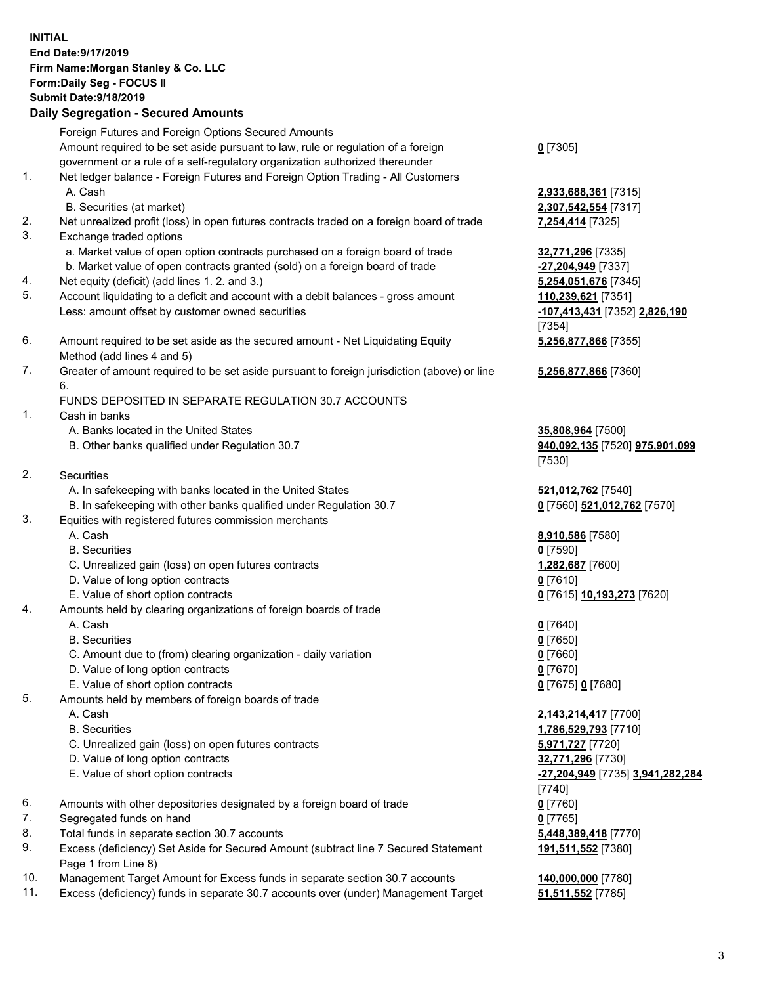## **INITIAL End Date:9/17/2019 Firm Name:Morgan Stanley & Co. LLC Form:Daily Seg - FOCUS II Submit Date:9/18/2019 Daily Segregation - Secured Amounts**

Foreign Futures and Foreign Options Secured Amounts

Amount required to be set aside pursuant to law, rule or regulation of a foreign government or a rule of a self-regulatory organization authorized thereunder 1. Net ledger balance - Foreign Futures and Foreign Option Trading - All Customers A. Cash **2,933,688,361** [7315] B. Securities (at market) **2,307,542,554** [7317] 2. Net unrealized profit (loss) in open futures contracts traded on a foreign board of trade **7,254,414** [7325] 3. Exchange traded options a. Market value of open option contracts purchased on a foreign board of trade **32,771,296** [7335] b. Market value of open contracts granted (sold) on a foreign board of trade **-27,204,949** [7337] 4. Net equity (deficit) (add lines 1. 2. and 3.) **5,254,051,676** [7345] 5. Account liquidating to a deficit and account with a debit balances - gross amount **110,239,621** [7351] Less: amount offset by customer owned securities **-107,413,431** [7352] **2,826,190**

- 6. Amount required to be set aside as the secured amount Net Liquidating Equity Method (add lines 4 and 5)
- 7. Greater of amount required to be set aside pursuant to foreign jurisdiction (above) or line 6.

## FUNDS DEPOSITED IN SEPARATE REGULATION 30.7 ACCOUNTS

- 1. Cash in banks
	- A. Banks located in the United States **35,808,964** [7500]
	- B. Other banks qualified under Regulation 30.7 **940,092,135** [7520] **975,901,099**
- 2. Securities
	- A. In safekeeping with banks located in the United States **521,012,762** [7540]
	- B. In safekeeping with other banks qualified under Regulation 30.7 **0** [7560] **521,012,762** [7570]
- 3. Equities with registered futures commission merchants
	-
	- B. Securities **0** [7590]
	- C. Unrealized gain (loss) on open futures contracts **1,282,687** [7600]
	- D. Value of long option contracts **0** [7610]
- E. Value of short option contracts **0** [7615] **10,193,273** [7620]
- 4. Amounts held by clearing organizations of foreign boards of trade
	- A. Cash **0** [7640]
	- B. Securities **0** [7650]
	- C. Amount due to (from) clearing organization daily variation **0** [7660]
	- D. Value of long option contracts **0** [7670]
	- E. Value of short option contracts **0** [7675] **0** [7680]
- 5. Amounts held by members of foreign boards of trade
	-
	-
	- C. Unrealized gain (loss) on open futures contracts **5,971,727** [7720]
	- D. Value of long option contracts **32,771,296** [7730]
	- E. Value of short option contracts **-27,204,949** [7735] **3,941,282,284**
- 6. Amounts with other depositories designated by a foreign board of trade **0** [7760]
- 7. Segregated funds on hand **0** [7765]
- 8. Total funds in separate section 30.7 accounts **5,448,389,418** [7770]
- 9. Excess (deficiency) Set Aside for Secured Amount (subtract line 7 Secured Statement Page 1 from Line 8)
- 10. Management Target Amount for Excess funds in separate section 30.7 accounts **140,000,000** [7780]
- 11. Excess (deficiency) funds in separate 30.7 accounts over (under) Management Target **51,511,552** [7785]

**0** [7305]

[7354] **5,256,877,866** [7355]

**5,256,877,866** [7360]

[7530]

A. Cash **8,910,586** [7580]

 A. Cash **2,143,214,417** [7700] B. Securities **1,786,529,793** [7710] [7740] **191,511,552** [7380]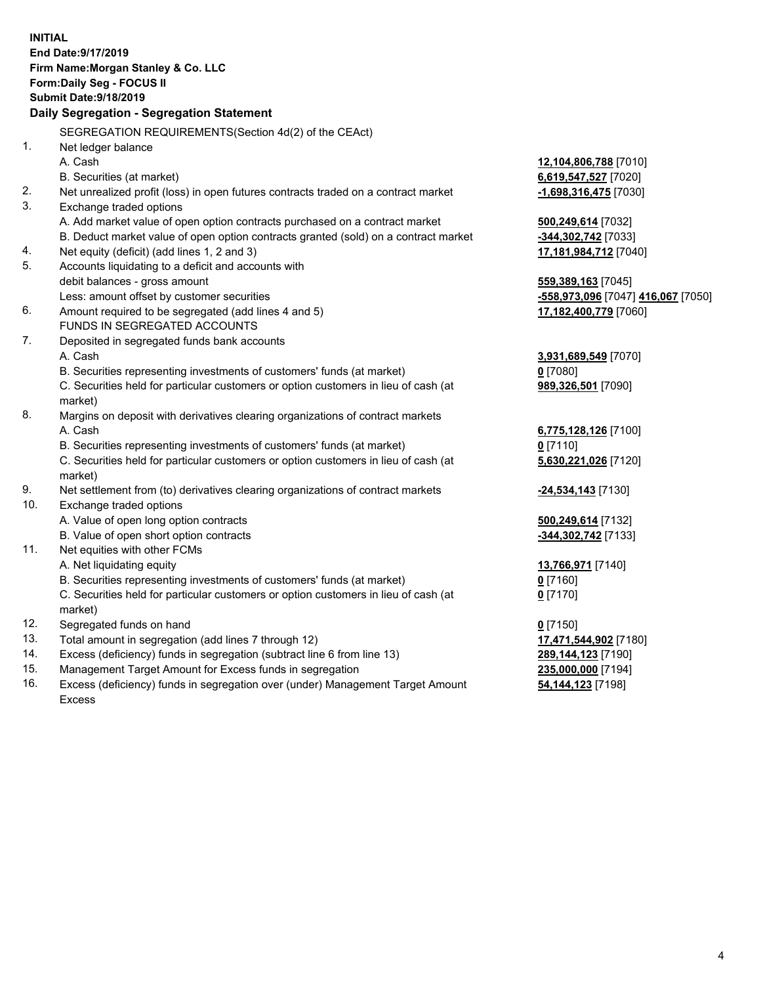|     | <b>INITIAL</b><br>End Date: 9/17/2019<br>Firm Name: Morgan Stanley & Co. LLC                   |                                    |
|-----|------------------------------------------------------------------------------------------------|------------------------------------|
|     | Form: Daily Seg - FOCUS II                                                                     |                                    |
|     | <b>Submit Date: 9/18/2019</b>                                                                  |                                    |
|     | Daily Segregation - Segregation Statement                                                      |                                    |
|     |                                                                                                |                                    |
|     | SEGREGATION REQUIREMENTS(Section 4d(2) of the CEAct)                                           |                                    |
| 1.  | Net ledger balance                                                                             |                                    |
|     | A. Cash                                                                                        | 12,104,806,788 [7010]              |
|     | B. Securities (at market)                                                                      | 6,619,547,527 [7020]               |
| 2.  | Net unrealized profit (loss) in open futures contracts traded on a contract market             | -1,698,316,475 [7030]              |
| 3.  | Exchange traded options                                                                        |                                    |
|     | A. Add market value of open option contracts purchased on a contract market                    | 500,249,614 [7032]                 |
|     | B. Deduct market value of open option contracts granted (sold) on a contract market            | -344,302,742 [7033]                |
| 4.  | Net equity (deficit) (add lines 1, 2 and 3)                                                    | 17,181,984,712 [7040]              |
| 5.  | Accounts liquidating to a deficit and accounts with                                            |                                    |
|     | debit balances - gross amount                                                                  | 559,389,163 [7045]                 |
|     | Less: amount offset by customer securities                                                     | -558,973,096 [7047] 416,067 [7050] |
| 6.  | Amount required to be segregated (add lines 4 and 5)                                           | 17,182,400,779 [7060]              |
|     | FUNDS IN SEGREGATED ACCOUNTS                                                                   |                                    |
| 7.  | Deposited in segregated funds bank accounts                                                    |                                    |
|     | A. Cash                                                                                        | 3,931,689,549 [7070]               |
|     | B. Securities representing investments of customers' funds (at market)                         | $0$ [7080]                         |
|     | C. Securities held for particular customers or option customers in lieu of cash (at<br>market) | 989,326,501 [7090]                 |
| 8.  | Margins on deposit with derivatives clearing organizations of contract markets                 |                                    |
|     | A. Cash                                                                                        | 6,775,128,126 [7100]               |
|     | B. Securities representing investments of customers' funds (at market)                         | $0$ [7110]                         |
|     | C. Securities held for particular customers or option customers in lieu of cash (at<br>market) | 5,630,221,026 [7120]               |
| 9.  | Net settlement from (to) derivatives clearing organizations of contract markets                | $-24,534,143$ [7130]               |
| 10. | Exchange traded options                                                                        |                                    |
|     | A. Value of open long option contracts                                                         | 500,249,614 [7132]                 |
|     | B. Value of open short option contracts                                                        | -344,302,742 [7133]                |
| 11. | Net equities with other FCMs                                                                   |                                    |
|     | A. Net liquidating equity                                                                      | 13,766,971 [7140]                  |
|     | B. Securities representing investments of customers' funds (at market)                         | $0$ [7160]                         |
|     | C. Securities held for particular customers or option customers in lieu of cash (at<br>market) | $0$ [7170]                         |
| 12. | Segregated funds on hand                                                                       | $0$ [7150]                         |
| 13. | Total amount in segregation (add lines 7 through 12)                                           | 17,471,544,902 [7180]              |
| 14. | Excess (deficiency) funds in segregation (subtract line 6 from line 13)                        | 289,144,123 [7190]                 |
| 15. | Management Target Amount for Excess funds in segregation                                       | 235,000,000 [7194]                 |
|     |                                                                                                |                                    |

16. Excess (deficiency) funds in segregation over (under) Management Target Amount Excess

**54,144,123** [7198]